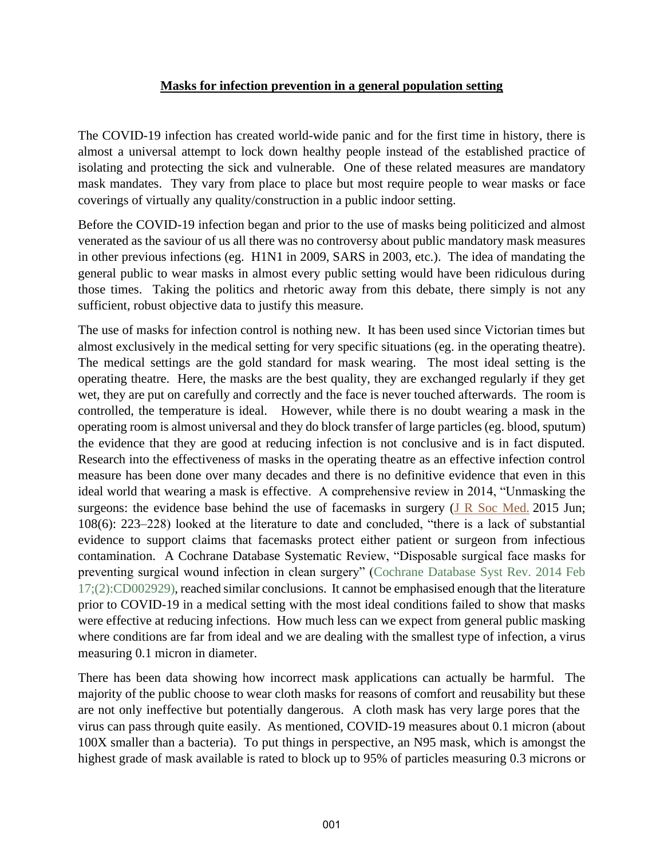## **Masks for infection prevention in a general population setting**

The COVID-19 infection has created world-wide panic and for the first time in history, there is almost a universal attempt to lock down healthy people instead of the established practice of isolating and protecting the sick and vulnerable. One of these related measures are mandatory mask mandates. They vary from place to place but most require people to wear masks or face coverings of virtually any quality/construction in a public indoor setting.

Before the COVID-19 infection began and prior to the use of masks being politicized and almost venerated as the saviour of us all there was no controversy about public mandatory mask measures in other previous infections (eg. H1N1 in 2009, SARS in 2003, etc.). The idea of mandating the general public to wear masks in almost every public setting would have been ridiculous during those times. Taking the politics and rhetoric away from this debate, there simply is not any sufficient, robust objective data to justify this measure.

The use of masks for infection control is nothing new. It has been used since Victorian times but almost exclusively in the medical setting for very specific situations (eg. in the operating theatre). The medical settings are the gold standard for mask wearing. The most ideal setting is the operating theatre. Here, the masks are the best quality, they are exchanged regularly if they get wet, they are put on carefully and correctly and the face is never touched afterwards. The room is controlled, the temperature is ideal. However, while there is no doubt wearing a mask in the operating room is almost universal and they do block transfer of large particles (eg. blood, sputum) the evidence that they are good at reducing infection is not conclusive and is in fact disputed. Research into the effectiveness of masks in the operating theatre as an effective infection control measure has been done over many decades and there is no definitive evidence that even in this ideal world that wearing a mask is effective. A comprehensive review in 2014, "Unmasking the surgeons: the evidence base behind the use of facemasks in surgery (J R Soc Med. 2015 Jun; 108(6): 223–228) looked at the literature to date and concluded, "there is a lack of substantial evidence to support claims that facemasks protect either patient or surgeon from infectious contamination. A Cochrane Database Systematic Review, "Disposable surgical face masks for preventing surgical wound infection in clean surgery" (Cochrane Database Syst Rev. 2014 Feb 17;(2):CD002929), reached similar conclusions. It cannot be emphasised enough that the literature prior to COVID-19 in a medical setting with the most ideal conditions failed to show that masks were effective at reducing infections. How much less can we expect from general public masking where conditions are far from ideal and we are dealing with the smallest type of infection, a virus measuring 0.1 micron in diameter.

There has been data showing how incorrect mask applications can actually be harmful. The majority of the public choose to wear cloth masks for reasons of comfort and reusability but these are not only ineffective but potentially dangerous. A cloth mask has very large pores that the virus can pass through quite easily. As mentioned, COVID-19 measures about 0.1 micron (about 100X smaller than a bacteria). To put things in perspective, an N95 mask, which is amongst the highest grade of mask available is rated to block up to 95% of particles measuring 0.3 microns or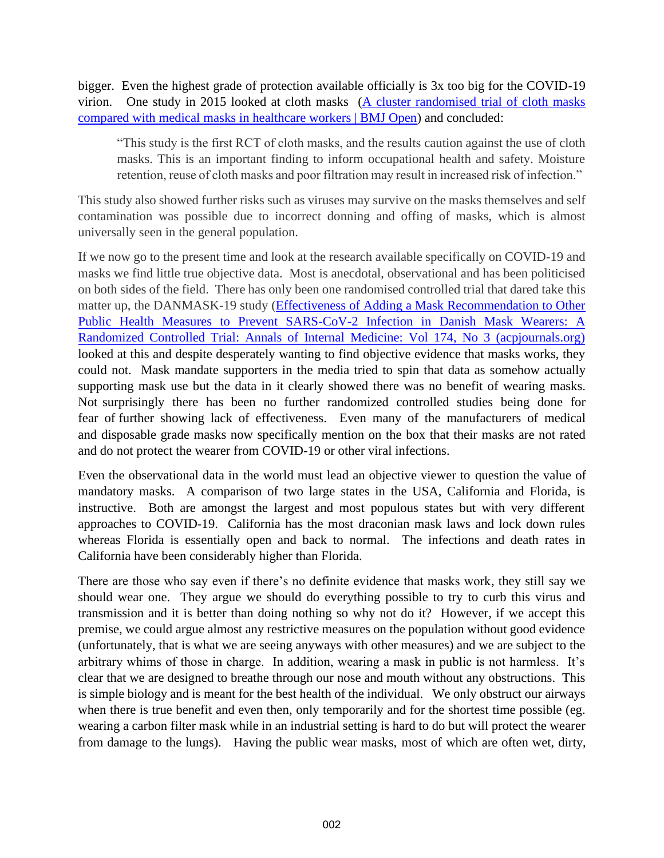bigger. Even the highest grade of protection available officially is 3x too big for the COVID-19 virion. One study in 2015 looked at cloth masks (A cluster randomised trial of cloth masks compared with medical masks in healthcare workers | BMJ Open) and concluded:

"This study is the first RCT of cloth masks, and the results caution against the use of cloth masks. This is an important finding to inform occupational health and safety. Moisture retention, reuse of cloth masks and poor filtration may result in increased risk of infection."

This study also showed further risks such as viruses may survive on the masks themselves and self contamination was possible due to incorrect donning and offing of masks, which is almost universally seen in the general population.

If we now go to the present time and look at the research available specifically on COVID-19 and masks we find little true objective data. Most is anecdotal, observational and has been politicised on both sides of the field. There has only been one randomised controlled trial that dared take this matter up, the DANMASK-19 study (Effectiveness of Adding a Mask Recommendation to Other Public Health Measures to Prevent SARS-CoV-2 Infection in Danish Mask Wearers: A Randomized Controlled Trial: Annals of Internal Medicine: Vol 174, No 3 (acpjournals.org) looked at this and despite desperately wanting to find objective evidence that masks works, they could not. Mask mandate supporters in the media tried to spin that data as somehow actually supporting mask use but the data in it clearly showed there was no benefit of wearing masks. Not surprisingly there has been no further randomized controlled studies being done for fear of further showing lack of effectiveness. Even many of the manufacturers of medical and disposable grade masks now specifically mention on the box that their masks are not rated and do not protect the wearer from COVID-19 or other viral infections.

Even the observational data in the world must lead an objective viewer to question the value of mandatory masks. A comparison of two large states in the USA, California and Florida, is instructive. Both are amongst the largest and most populous states but with very different approaches to COVID-19. California has the most draconian mask laws and lock down rules whereas Florida is essentially open and back to normal. The infections and death rates in California have been considerably higher than Florida.

There are those who say even if there's no definite evidence that masks work, they still say we should wear one. They argue we should do everything possible to try to curb this virus and transmission and it is better than doing nothing so why not do it? However, if we accept this premise, we could argue almost any restrictive measures on the population without good evidence (unfortunately, that is what we are seeing anyways with other measures) and we are subject to the arbitrary whims of those in charge. In addition, wearing a mask in public is not harmless. It's clear that we are designed to breathe through our nose and mouth without any obstructions. This is simple biology and is meant for the best health of the individual. We only obstruct our airways when there is true benefit and even then, only temporarily and for the shortest time possible (eg. wearing a carbon filter mask while in an industrial setting is hard to do but will protect the wearer from damage to the lungs). Having the public wear masks, most of which are often wet, dirty,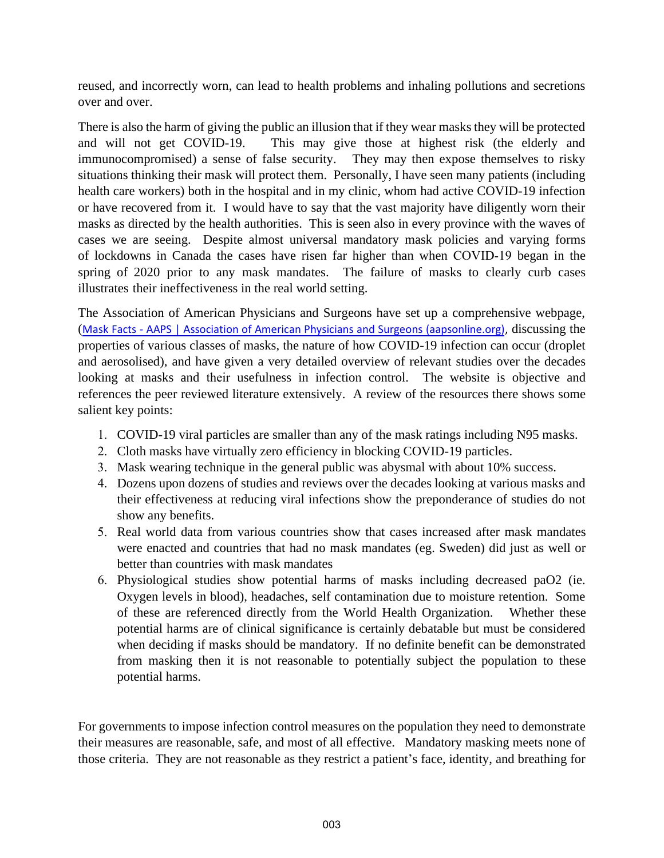reused, and incorrectly worn, can lead to health problems and inhaling pollutions and secretions over and over.

There is also the harm of giving the public an illusion that if they wear masks they will be protected and will not get COVID-19. This may give those at highest risk (the elderly and immunocompromised) a sense of false security. They may then expose themselves to risky situations thinking their mask will protect them. Personally, I have seen many patients (including health care workers) both in the hospital and in my clinic, whom had active COVID-19 infection or have recovered from it. I would have to say that the vast majority have diligently worn their masks as directed by the health authorities. This is seen also in every province with the waves of cases we are seeing. Despite almost universal mandatory mask policies and varying forms of lockdowns in Canada the cases have risen far higher than when COVID-19 began in the spring of 2020 prior to any mask mandates. The failure of masks to clearly curb cases illustrates their ineffectiveness in the real world setting.

The Association of American Physicians and Surgeons have set up a comprehensive webpage, (Mask Facts - AAPS | Association of American Physicians and Surgeons (aapsonline.org), discussing the properties of various classes of masks, the nature of how COVID-19 infection can occur (droplet and aerosolised), and have given a very detailed overview of relevant studies over the decades looking at masks and their usefulness in infection control. The website is objective and references the peer reviewed literature extensively. A review of the resources there shows some salient key points:

- 1. COVID-19 viral particles are smaller than any of the mask ratings including N95 masks.
- 2. Cloth masks have virtually zero efficiency in blocking COVID-19 particles.
- 3. Mask wearing technique in the general public was abysmal with about 10% success.
- 4. Dozens upon dozens of studies and reviews over the decades looking at various masks and their effectiveness at reducing viral infections show the preponderance of studies do not show any benefits.
- 5. Real world data from various countries show that cases increased after mask mandates were enacted and countries that had no mask mandates (eg. Sweden) did just as well or better than countries with mask mandates
- 6. Physiological studies show potential harms of masks including decreased paO2 (ie. Oxygen levels in blood), headaches, self contamination due to moisture retention. Some of these are referenced directly from the World Health Organization. Whether these potential harms are of clinical significance is certainly debatable but must be considered when deciding if masks should be mandatory. If no definite benefit can be demonstrated from masking then it is not reasonable to potentially subject the population to these potential harms.

For governments to impose infection control measures on the population they need to demonstrate their measures are reasonable, safe, and most of all effective. Mandatory masking meets none of those criteria. They are not reasonable as they restrict a patient's face, identity, and breathing for